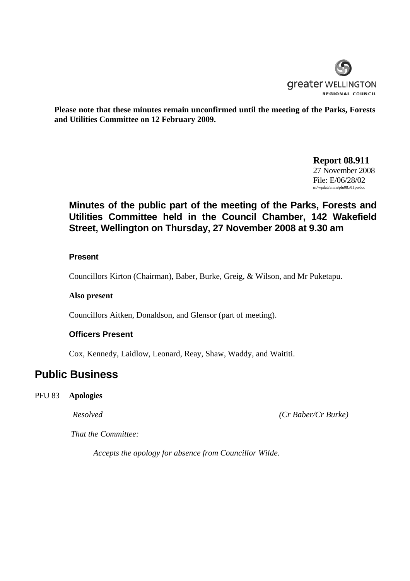

**Please note that these minutes remain unconfirmed until the meeting of the Parks, Forests and Utilities Committee on 12 February 2009.** 

> **Report 08.911** 27 November 2008 File: E/06/28/02 m:\wpdata\mins\pfu08.911pwdoc

# **Minutes of the public part of the meeting of the Parks, Forests and Utilities Committee held in the Council Chamber, 142 Wakefield Street, Wellington on Thursday, 27 November 2008 at 9.30 am**

### **Present**

Councillors Kirton (Chairman), Baber, Burke, Greig, & Wilson, and Mr Puketapu.

#### **Also present**

Councillors Aitken, Donaldson, and Glensor (part of meeting).

#### **Officers Present**

Cox, Kennedy, Laidlow, Leonard, Reay, Shaw, Waddy, and Waititi.

# **Public Business**

#### PFU 83 **Apologies**

*Resolved (Cr Baber/Cr Burke)* 

*That the Committee:* 

*Accepts the apology for absence from Councillor Wilde.*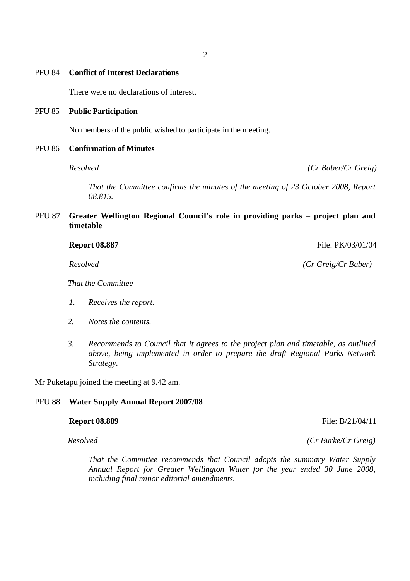## PFU 84 **Conflict of Interest Declarations**

There were no declarations of interest.

#### PFU 85 **Public Participation**

No members of the public wished to participate in the meeting.

## PFU 86 **Confirmation of Minutes**

*Resolved (Cr Baber/Cr Greig)* 

*That the Committee confirms the minutes of the meeting of 23 October 2008, Report 08.815.* 

PFU 87 **Greater Wellington Regional Council's role in providing parks – project plan and timetable**

| <b>Report 08.887</b> | File: PK/03/01/04 |
|----------------------|-------------------|
|                      |                   |

*That the Committee* 

- *1. Receives the report.*
- *2. Notes the contents.*
- *3. Recommends to Council that it agrees to the project plan and timetable, as outlined above, being implemented in order to prepare the draft Regional Parks Network Strategy.*

Mr Puketapu joined the meeting at 9.42 am.

#### PFU 88 **Water Supply Annual Report 2007/08**

*Resolved (Cr Burke/Cr Greig)*

*That the Committee recommends that Council adopts the summary Water Supply Annual Report for Greater Wellington Water for the year ended 30 June 2008, including final minor editorial amendments.* 

*Resolved (Cr Greig/Cr Baber)* 

**Report 08.889** File: B/21/04/11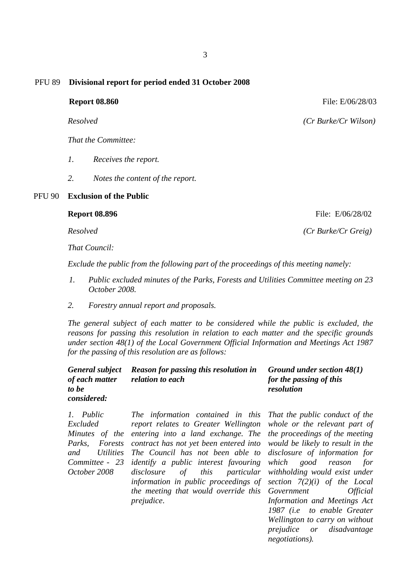#### PFU 89 **Divisional report for period ended 31 October 2008**

**Report 08.860** File: E/06/28/03

*Resolved (Cr Burke/Cr Wilson)*

*That the Committee:* 

- *1. Receives the report.*
- *2. Notes the content of the report.*

#### PFU 90 **Exclusion of the Public**

*That Council:* 

 *Exclude the public from the following part of the proceedings of this meeting namely:* 

- *1. Public excluded minutes of the Parks, Forests and Utilities Committee meeting on 23 October 2008.*
- *2. Forestry annual report and proposals.*

*The general subject of each matter to be considered while the public is excluded, the reasons for passing this resolution in relation to each matter and the specific grounds under section 48(1) of the Local Government Official Information and Meetings Act 1987 for the passing of this resolution are as follows:* 

|                    | General subject Reason for passing this resolution in | Ground under section $48(1)$ |
|--------------------|-------------------------------------------------------|------------------------------|
| of each matter     | <i>relation to each</i>                               | for the passing of this      |
| to be              |                                                       | resolution                   |
| <i>considered:</i> |                                                       |                              |
|                    |                                                       |                              |

*1. Public Excluded Minutes of the entering into a land exchange. The Parks, Forests contract has not yet been entered into and Utilities Committee - 23 October 2008 The information contained in this report relates to Greater Wellington The Council has not been able to identify a public interest favouring disclosure of this particular information in public proceedings of the meeting that would override this prejudice*.

*That the public conduct of the whole or the relevant part of the proceedings of the meeting would be likely to result in the disclosure of information for which good reason for withholding would exist under section 7(2)(i) of the Local Government Official Information and Meetings Act 1987 (i.e to enable Greater Wellington to carry on without prejudice or disadvantage negotiations).*

**Report 08.896 File:** E/06/28/02

 *Resolved (Cr Burke/Cr Greig)*